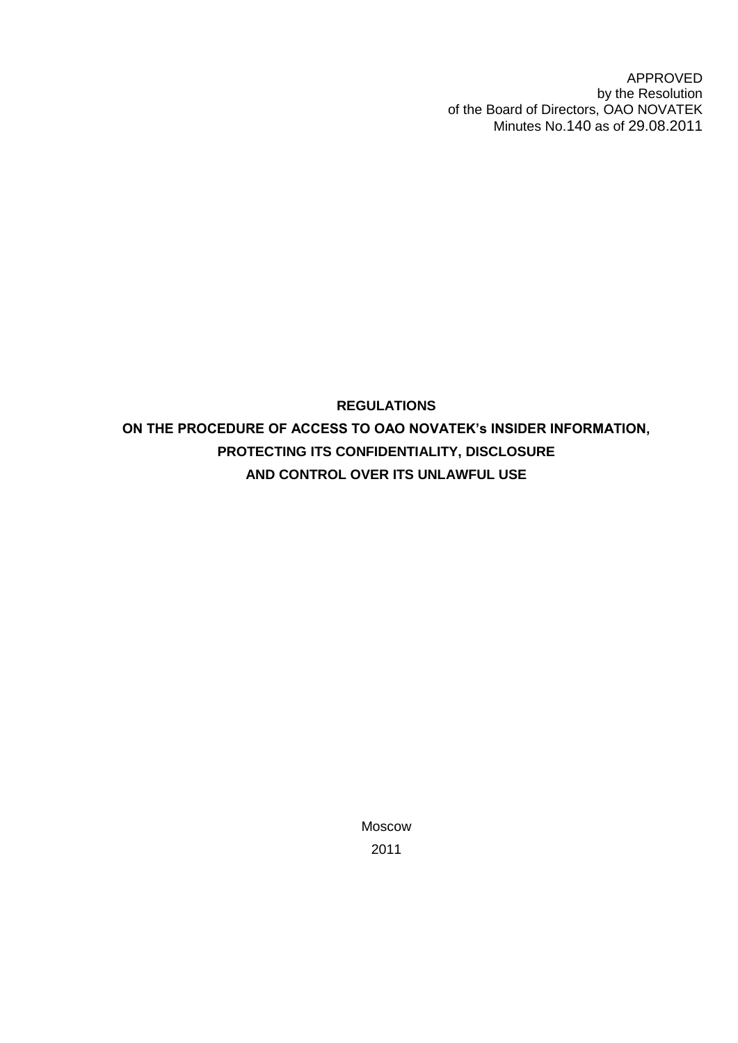APPROVED by the Resolution of the Board of Directors, OAO NOVATEK Minutes No.140 as of 29.08.2011

# **REGULATIONS ON THE PROCEDURE OF ACCESS TO OAO NOVATEK's INSIDER INFORMATION, PROTECTING ITS CONFIDENTIALITY, DISCLOSURE AND CONTROL OVER ITS UNLAWFUL USE**

Moscow 2011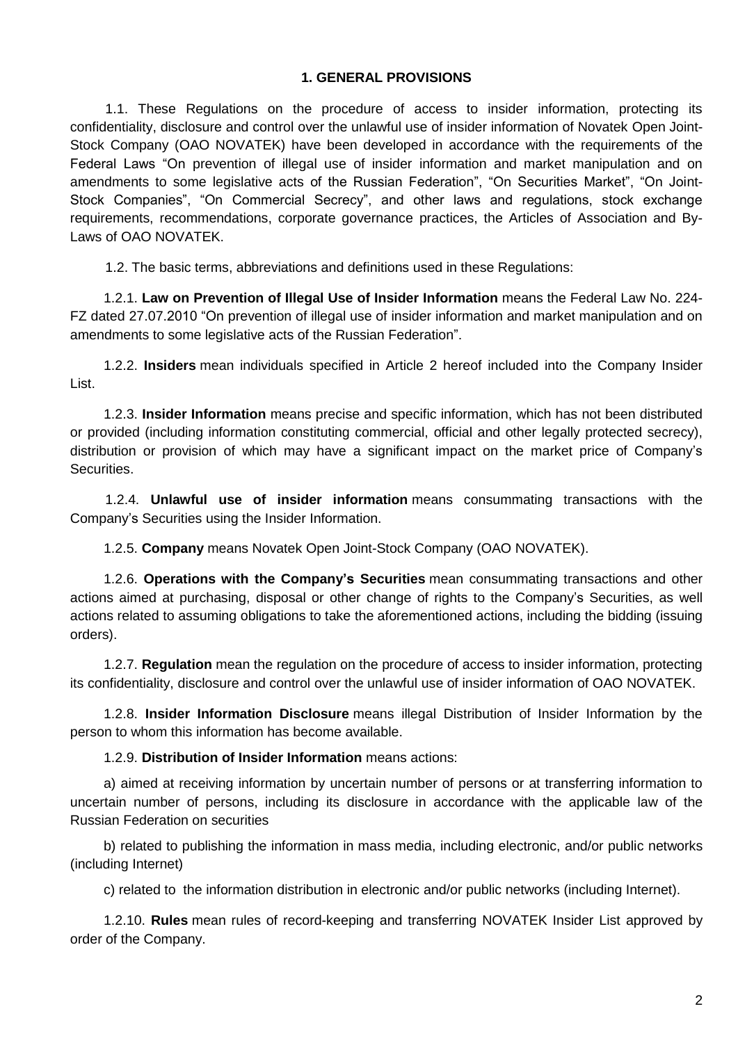#### **1. GENERAL PROVISIONS**

1.1. These Regulations on the procedure of access to insider information, protecting its confidentiality, disclosure and control over the unlawful use of insider information of Novatek Open Joint-Stock Company (OAO NOVATEK) have been developed in accordance with the requirements of the Federal Laws "On prevention of illegal use of insider information and market manipulation and on amendments to some legislative acts of the Russian Federation", "On Securities Market", "On Joint-Stock Companies", "On Commercial Secrecy", and other laws and regulations, stock exchange requirements, recommendations, corporate governance practices, the Articles of Association and By-Laws of OAO NOVATEK.

1.2. The basic terms, abbreviations and definitions used in these Regulations:

1.2.1. **Law on Prevention of Illegal Use of Insider Information** means the Federal Law No. 224- FZ dated 27.07.2010 "On prevention of illegal use of insider information and market manipulation and on amendments to some legislative acts of the Russian Federation".

1.2.2. **Insiders** mean individuals specified in Article 2 hereof included into the Company Insider List.

1.2.3. **Insider Information** means precise and specific information, which has not been distributed or provided (including information constituting commercial, official and other legally protected secrecy), distribution or provision of which may have a significant impact on the market price of Company's Securities.

1.2.4. **Unlawful use of insider information** means consummating transactions with the Company's Securities using the Insider Information.

1.2.5. **Company** means Novatek Open Joint-Stock Company (OAO NOVATEK).

1.2.6. **Operations with the Company's Securities** mean consummating transactions and other actions aimed at purchasing, disposal or other change of rights to the Company's Securities, as well actions related to assuming obligations to take the aforementioned actions, including the bidding (issuing orders).

1.2.7. **Regulation** mean the regulation on the procedure of access to insider information, protecting its confidentiality, disclosure and control over the unlawful use of insider information of OAO NOVATEK.

1.2.8. **Insider Information Disclosure** means illegal Distribution of Insider Information by the person to whom this information has become available.

1.2.9. **Distribution of Insider Information** means actions:

a) aimed at receiving information by uncertain number of persons or at transferring information to uncertain number of persons, including its disclosure in accordance with the applicable law of the Russian Federation on securities

b) related to publishing the information in mass media, including electronic, and/or public networks (including Internet)

c) related to the information distribution in electronic and/or public networks (including Internet).

1.2.10. **Rules** mean rules of record-keeping and transferring NOVATEK Insider List approved by order of the Company.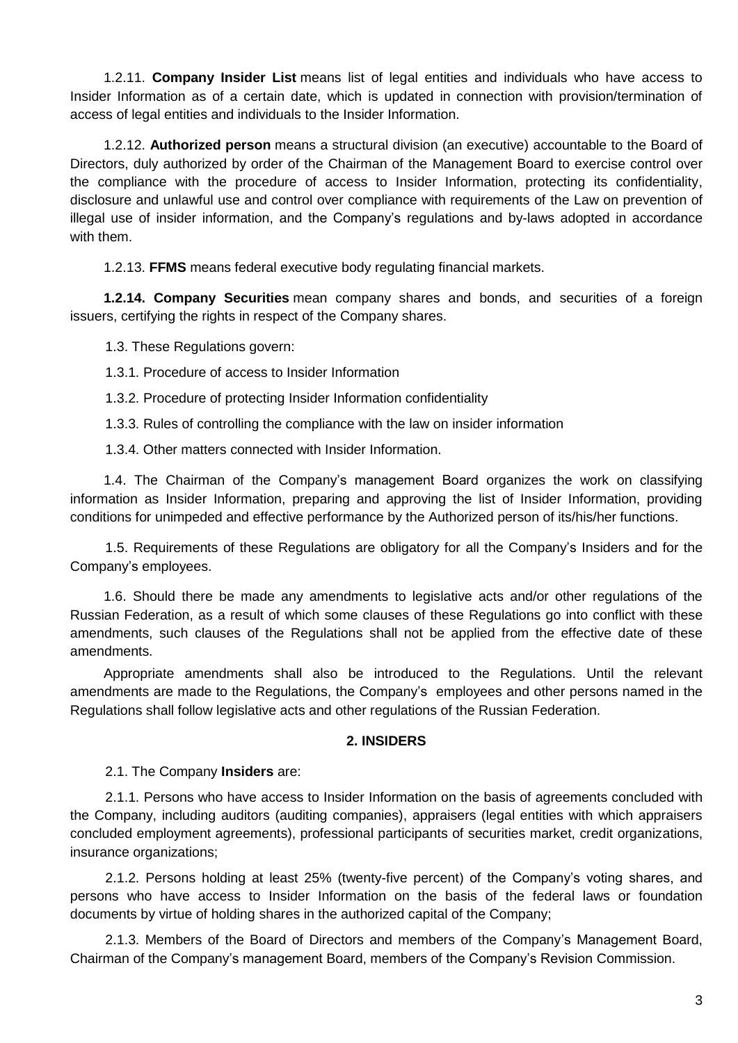1.2.11. **Company Insider List** means list of legal entities and individuals who have access to Insider Information as of a certain date, which is updated in connection with provision/termination of access of legal entities and individuals to the Insider Information.

1.2.12. **Authorized person** means a structural division (an executive) accountable to the Board of Directors, duly authorized by order of the Chairman of the Management Board to exercise control over the compliance with the procedure of access to Insider Information, protecting its confidentiality, disclosure and unlawful use and control over compliance with requirements of the Law on prevention of illegal use of insider information, and the Company's regulations and by-laws adopted in accordance with them.

1.2.13. **FFMS** means federal executive body regulating financial markets.

**1.2.14. Company Securities** mean company shares and bonds, and securities of a foreign issuers, certifying the rights in respect of the Company shares.

1.3. These Regulations govern:

1.3.1. Procedure of access to Insider Information

1.3.2. Procedure of protecting Insider Information confidentiality

1.3.3. Rules of controlling the compliance with the law on insider information

1.3.4. Other matters connected with Insider Information.

1.4. The Chairman of the Company's management Board organizes the work on classifying information as Insider Information, preparing and approving the list of Insider Information, providing conditions for unimpeded and effective performance by the Authorized person of its/his/her functions.

1.5. Requirements of these Regulations are obligatory for all the Company's Insiders and for the Company's employees.

1.6. Should there be made any amendments to legislative acts and/or other regulations of the Russian Federation, as a result of which some clauses of these Regulations go into conflict with these amendments, such clauses of the Regulations shall not be applied from the effective date of these amendments.

Appropriate amendments shall also be introduced to the Regulations. Until the relevant amendments are made to the Regulations, the Company's employees and other persons named in the Regulations shall follow legislative acts and other regulations of the Russian Federation.

#### **2. INSIDERS**

2.1. The Company **Insiders** are:

2.1.1. Persons who have access to Insider Information on the basis of agreements concluded with the Company, including auditors (auditing companies), appraisers (legal entities with which appraisers concluded employment agreements), professional participants of securities market, credit organizations, insurance organizations;

2.1.2. Persons holding at least 25% (twenty-five percent) of the Company's voting shares, and persons who have access to Insider Information on the basis of the federal laws or foundation documents by virtue of holding shares in the authorized capital of the Company;

2.1.3. Members of the Board of Directors and members of the Company's Management Board, Chairman of the Company's management Board, members of the Company's Revision Commission.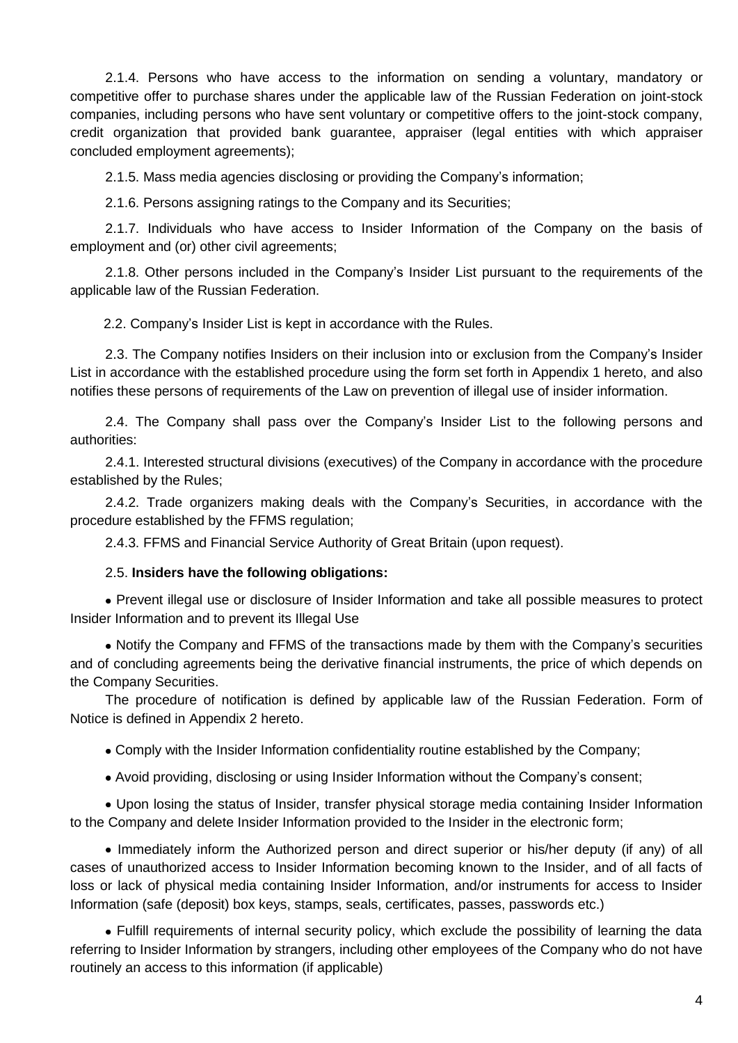2.1.4. Persons who have access to the information on sending a voluntary, mandatory or competitive offer to purchase shares under the applicable law of the Russian Federation on joint-stock companies, including persons who have sent voluntary or competitive offers to the joint-stock company, credit organization that provided bank guarantee, appraiser (legal entities with which appraiser concluded employment agreements);

2.1.5. Mass media agencies disclosing or providing the Company's information;

2.1.6. Persons assigning ratings to the Company and its Securities;

2.1.7. Individuals who have access to Insider Information of the Company on the basis of employment and (or) other civil agreements;

2.1.8. Other persons included in the Company's Insider List pursuant to the requirements of the applicable law of the Russian Federation.

2.2. Company's Insider List is kept in accordance with the Rules.

2.3. The Company notifies Insiders on their inclusion into or exclusion from the Company's Insider List in accordance with the established procedure using the form set forth in Appendix 1 hereto, and also notifies these persons of requirements of the Law on prevention of illegal use of insider information.

2.4. The Company shall pass over the Company's Insider List to the following persons and authorities:

2.4.1. Interested structural divisions (executives) of the Company in accordance with the procedure established by the Rules;

2.4.2. Trade organizers making deals with the Company's Securities, in accordance with the procedure established by the FFMS regulation;

2.4.3. FFMS and Financial Service Authority of Great Britain (upon request).

#### 2.5. **Insiders have the following obligations:**

Prevent illegal use or disclosure of Insider Information and take all possible measures to protect Insider Information and to prevent its Illegal Use

• Notify the Company and FFMS of the transactions made by them with the Company's securities and of concluding agreements being the derivative financial instruments, the price of which depends on the Company Securities.

The procedure of notification is defined by applicable law of the Russian Federation. Form of Notice is defined in Appendix 2 hereto.

Comply with the Insider Information confidentiality routine established by the Company;

Avoid providing, disclosing or using Insider Information without the Company's consent;

Upon losing the status of Insider, transfer physical storage media containing Insider Information to the Company and delete Insider Information provided to the Insider in the electronic form;

• Immediately inform the Authorized person and direct superior or his/her deputy (if any) of all cases of unauthorized access to Insider Information becoming known to the Insider, and of all facts of loss or lack of physical media containing Insider Information, and/or instruments for access to Insider Information (safe (deposit) box keys, stamps, seals, certificates, passes, passwords etc.)

Fulfill requirements of internal security policy, which exclude the possibility of learning the data referring to Insider Information by strangers, including other employees of the Company who do not have routinely an access to this information (if applicable)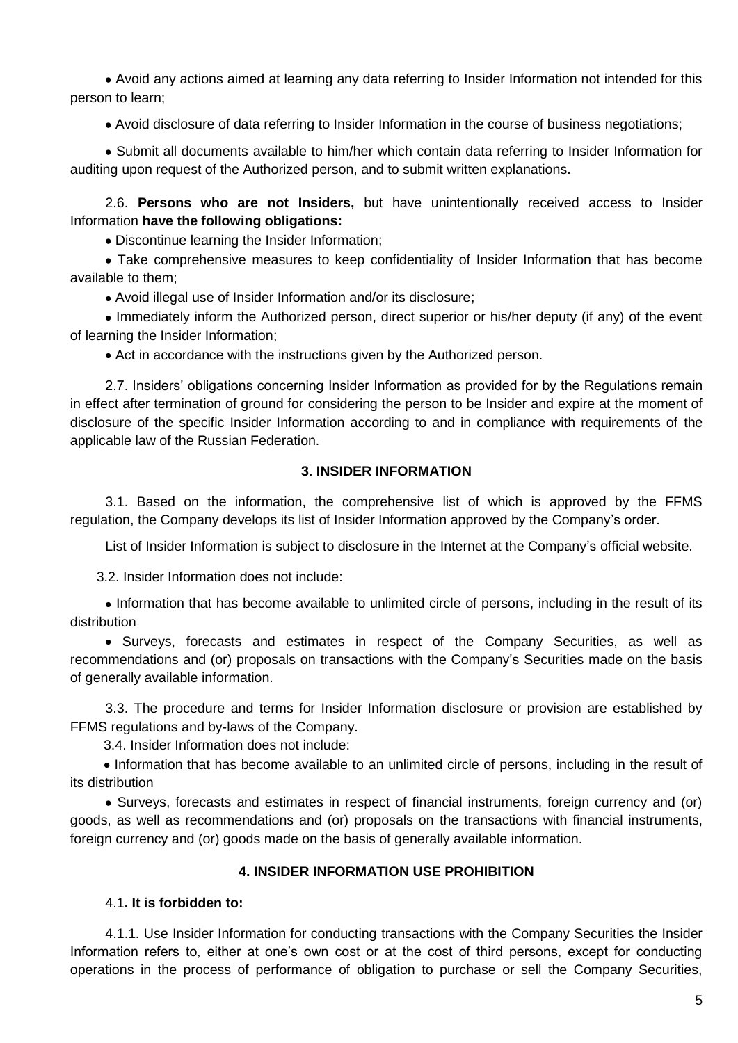Avoid any actions aimed at learning any data referring to Insider Information not intended for this person to learn;

Avoid disclosure of data referring to Insider Information in the course of business negotiations;

Submit all documents available to him/her which contain data referring to Insider Information for auditing upon request of the Authorized person, and to submit written explanations.

2.6. **Persons who are not Insiders,** but have unintentionally received access to Insider Information **have the following obligations:**

Discontinue learning the Insider Information;

Take comprehensive measures to keep confidentiality of Insider Information that has become available to them;

Avoid illegal use of Insider Information and/or its disclosure;

Immediately inform the Authorized person, direct superior or his/her deputy (if any) of the event of learning the Insider Information;

Act in accordance with the instructions given by the Authorized person.

2.7. Insiders' obligations concerning Insider Information as provided for by the Regulations remain in effect after termination of ground for considering the person to be Insider and expire at the moment of disclosure of the specific Insider Information according to and in compliance with requirements of the applicable law of the Russian Federation.

#### **3. INSIDER INFORMATION**

3.1. Based on the information, the comprehensive list of which is approved by the FFMS regulation, the Company develops its list of Insider Information approved by the Company's order.

List of Insider Information is subject to disclosure in the Internet at the Company's official website.

3.2. Insider Information does not include:

Information that has become available to unlimited circle of persons, including in the result of its distribution

Surveys, forecasts and estimates in respect of the Company Securities, as well as recommendations and (or) proposals on transactions with the Company's Securities made on the basis of generally available information.

3.3. The procedure and terms for Insider Information disclosure or provision are established by FFMS regulations and by-laws of the Company.

3.4. Insider Information does not include:

• Information that has become available to an unlimited circle of persons, including in the result of its distribution

Surveys, forecasts and estimates in respect of financial instruments, foreign currency and (or) goods, as well as recommendations and (or) proposals on the transactions with financial instruments, foreign currency and (or) goods made on the basis of generally available information.

#### **4. INSIDER INFORMATION USE PROHIBITION**

#### 4.1**. It is forbidden to:**

4.1.1. Use Insider Information for conducting transactions with the Company Securities the Insider Information refers to, either at one's own cost or at the cost of third persons, except for conducting operations in the process of performance of obligation to purchase or sell the Company Securities,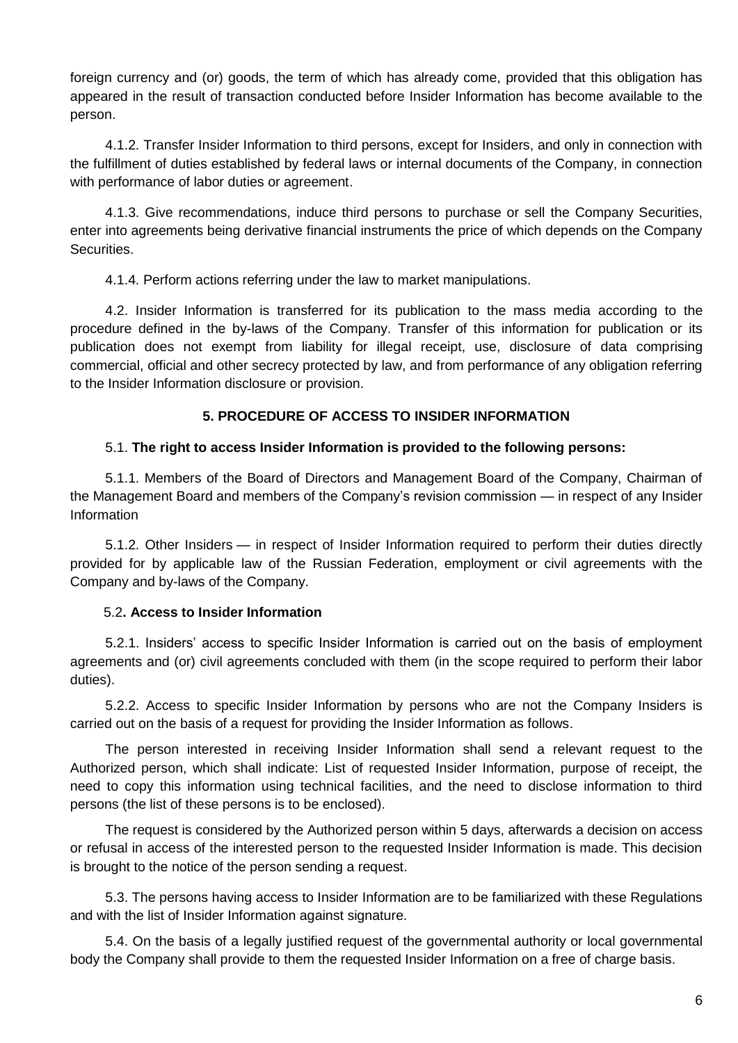foreign currency and (or) goods, the term of which has already come, provided that this obligation has appeared in the result of transaction conducted before Insider Information has become available to the person.

4.1.2. Transfer Insider Information to third persons, except for Insiders, and only in connection with the fulfillment of duties established by federal laws or internal documents of the Company, in connection with performance of labor duties or agreement.

4.1.3. Give recommendations, induce third persons to purchase or sell the Company Securities, enter into agreements being derivative financial instruments the price of which depends on the Company Securities.

4.1.4. Perform actions referring under the law to market manipulations.

4.2. Insider Information is transferred for its publication to the mass media according to the procedure defined in the by-laws of the Company. Transfer of this information for publication or its publication does not exempt from liability for illegal receipt, use, disclosure of data comprising commercial, official and other secrecy protected by law, and from performance of any obligation referring to the Insider Information disclosure or provision.

## **5. PROCEDURE OF ACCESS TO INSIDER INFORMATION**

#### 5.1. **The right to access Insider Information is provided to the following persons:**

5.1.1. Members of the Board of Directors and Management Board of the Company, Chairman of the Management Board and members of the Company's revision commission — in respect of any Insider Information

5.1.2. Other Insiders — in respect of Insider Information required to perform their duties directly provided for by applicable law of the Russian Federation, employment or civil agreements with the Company and by-laws of the Company.

#### 5.2**. Access to Insider Information**

5.2.1. Insiders' access to specific Insider Information is carried out on the basis of employment agreements and (or) civil agreements concluded with them (in the scope required to perform their labor duties).

5.2.2. Access to specific Insider Information by persons who are not the Company Insiders is carried out on the basis of a request for providing the Insider Information as follows.

The person interested in receiving Insider Information shall send a relevant request to the Authorized person, which shall indicate: List of requested Insider Information, purpose of receipt, the need to copy this information using technical facilities, and the need to disclose information to third persons (the list of these persons is to be enclosed).

The request is considered by the Authorized person within 5 days, afterwards a decision on access or refusal in access of the interested person to the requested Insider Information is made. This decision is brought to the notice of the person sending a request.

5.3. The persons having access to Insider Information are to be familiarized with these Regulations and with the list of Insider Information against signature.

5.4. On the basis of a legally justified request of the governmental authority or local governmental body the Company shall provide to them the requested Insider Information on a free of charge basis.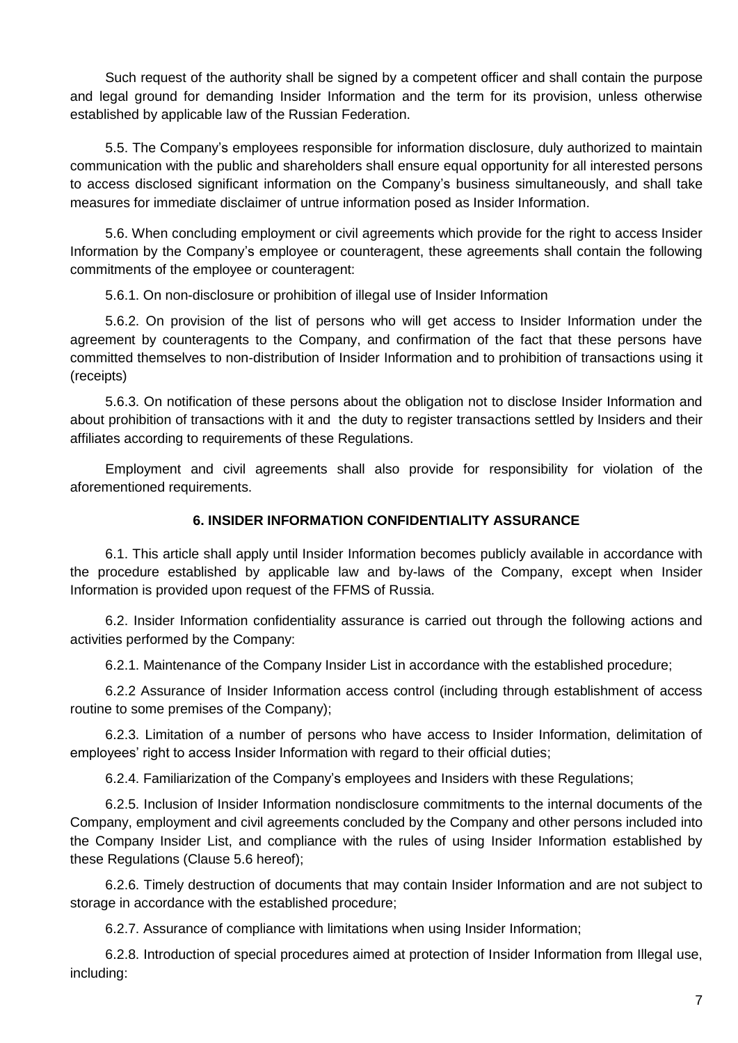Such request of the authority shall be signed by a competent officer and shall contain the purpose and legal ground for demanding Insider Information and the term for its provision, unless otherwise established by applicable law of the Russian Federation.

5.5. The Company's employees responsible for information disclosure, duly authorized to maintain communication with the public and shareholders shall ensure equal opportunity for all interested persons to access disclosed significant information on the Company's business simultaneously, and shall take measures for immediate disclaimer of untrue information posed as Insider Information.

5.6. When concluding employment or civil agreements which provide for the right to access Insider Information by the Company's employee or counteragent, these agreements shall contain the following commitments of the employee or counteragent:

5.6.1. On non-disclosure or prohibition of illegal use of Insider Information

5.6.2. On provision of the list of persons who will get access to Insider Information under the agreement by counteragents to the Company, and confirmation of the fact that these persons have committed themselves to non-distribution of Insider Information and to prohibition of transactions using it (receipts)

5.6.3. On notification of these persons about the obligation not to disclose Insider Information and about prohibition of transactions with it and the duty to register transactions settled by Insiders and their affiliates according to requirements of these Regulations.

Employment and civil agreements shall also provide for responsibility for violation of the aforementioned requirements.

#### **6. INSIDER INFORMATION CONFIDENTIALITY ASSURANCE**

6.1. This article shall apply until Insider Information becomes publicly available in accordance with the procedure established by applicable law and by-laws of the Company, except when Insider Information is provided upon request of the FFMS of Russia.

6.2. Insider Information confidentiality assurance is carried out through the following actions and activities performed by the Company:

6.2.1. Maintenance of the Company Insider List in accordance with the established procedure;

6.2.2 Assurance of Insider Information access control (including through establishment of access routine to some premises of the Company);

6.2.3. Limitation of a number of persons who have access to Insider Information, delimitation of employees' right to access Insider Information with regard to their official duties;

6.2.4. Familiarization of the Company's employees and Insiders with these Regulations;

6.2.5. Inclusion of Insider Information nondisclosure commitments to the internal documents of the Company, employment and civil agreements concluded by the Company and other persons included into the Company Insider List, and compliance with the rules of using Insider Information established by these Regulations (Clause 5.6 hereof);

6.2.6. Timely destruction of documents that may contain Insider Information and are not subject to storage in accordance with the established procedure;

6.2.7. Assurance of compliance with limitations when using Insider Information;

6.2.8. Introduction of special procedures aimed at protection of Insider Information from Illegal use, including: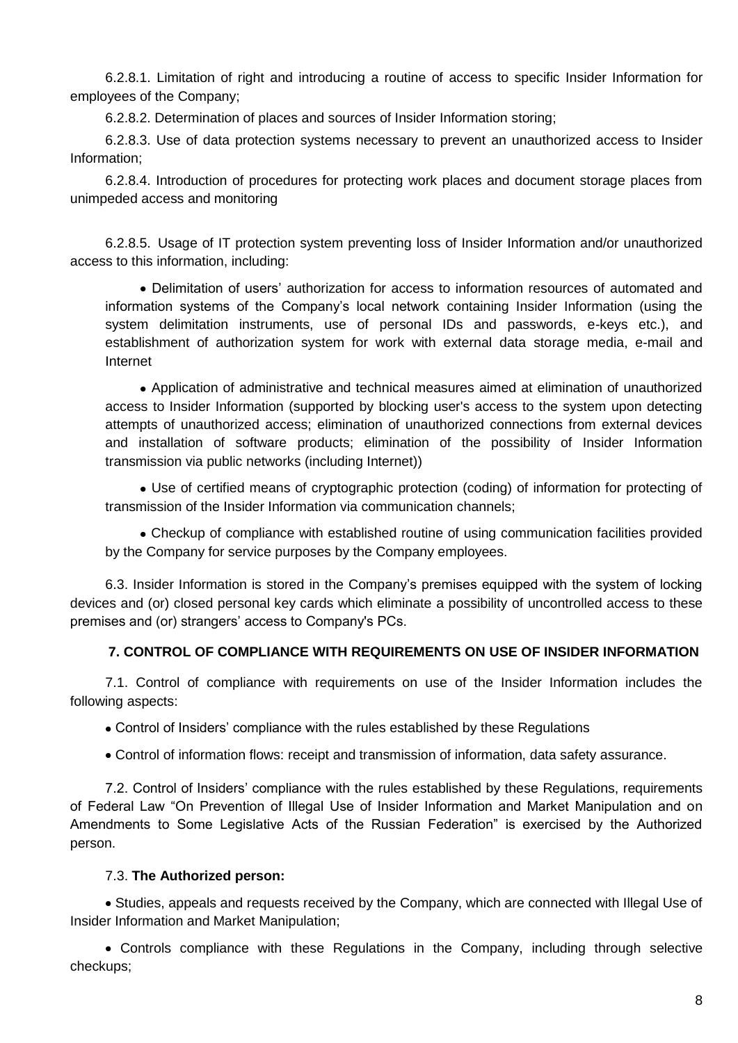6.2.8.1. Limitation of right and introducing a routine of access to specific Insider Information for employees of the Company;

6.2.8.2. Determination of places and sources of Insider Information storing;

6.2.8.3. Use of data protection systems necessary to prevent an unauthorized access to Insider Information;

6.2.8.4. Introduction of procedures for protecting work places and document storage places from unimpeded access and monitoring

6.2.8.5. Usage of IT protection system preventing loss of Insider Information and/or unauthorized access to this information, including:

Delimitation of users' authorization for access to information resources of automated and information systems of the Company's local network containing Insider Information (using the system delimitation instruments, use of personal IDs and passwords, e-keys etc.), and establishment of authorization system for work with external data storage media, e-mail and Internet

Application of administrative and technical measures aimed at elimination of unauthorized access to Insider Information (supported by blocking user's access to the system upon detecting attempts of unauthorized access; elimination of unauthorized connections from external devices and installation of software products; elimination of the possibility of Insider Information transmission via public networks (including Internet))

Use of certified means of cryptographic protection (coding) of information for protecting of transmission of the Insider Information via communication channels;

Checkup of compliance with established routine of using communication facilities provided by the Company for service purposes by the Company employees.

6.3. Insider Information is stored in the Company's premises equipped with the system of locking devices and (or) closed personal key cards which eliminate a possibility of uncontrolled access to these premises and (or) strangers' access to Company's PCs.

#### **7. CONTROL OF COMPLIANCE WITH REQUIREMENTS ON USE OF INSIDER INFORMATION**

7.1. Control of compliance with requirements on use of the Insider Information includes the following aspects:

Control of Insiders' compliance with the rules established by these Regulations

Control of information flows: receipt and transmission of information, data safety assurance.

7.2. Control of Insiders' compliance with the rules established by these Regulations, requirements of Federal Law "On Prevention of Illegal Use of Insider Information and Market Manipulation and on Amendments to Some Legislative Acts of the Russian Federation" is exercised by the Authorized person.

#### 7.3. **The Authorized person:**

Studies, appeals and requests received by the Company, which are connected with Illegal Use of Insider Information and Market Manipulation;

Controls compliance with these Regulations in the Company, including through selective checkups;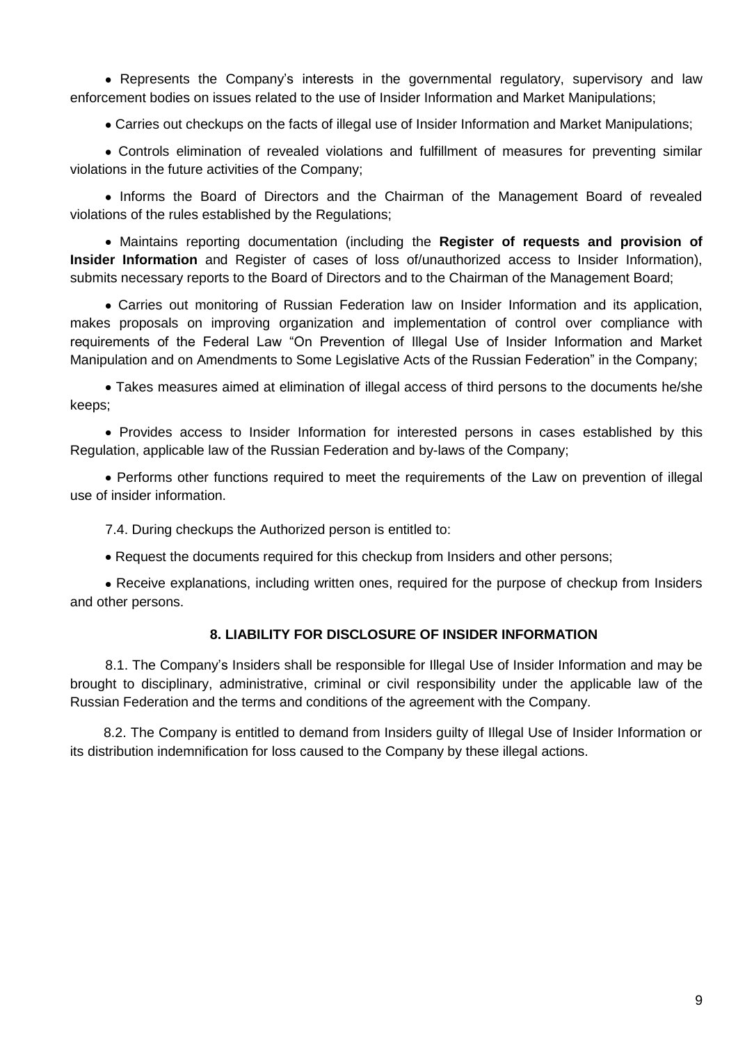• Represents the Company's interests in the governmental regulatory, supervisory and law enforcement bodies on issues related to the use of Insider Information and Market Manipulations;

Carries out checkups on the facts of illegal use of Insider Information and Market Manipulations;

Controls elimination of revealed violations and fulfillment of measures for preventing similar violations in the future activities of the Company;

• Informs the Board of Directors and the Chairman of the Management Board of revealed violations of the rules established by the Regulations;

Maintains reporting documentation (including the **Register of requests and provision of Insider Information** and Register of cases of loss of/unauthorized access to Insider Information), submits necessary reports to the Board of Directors and to the Chairman of the Management Board;

Carries out monitoring of Russian Federation law on Insider Information and its application, makes proposals on improving organization and implementation of control over compliance with requirements of the Federal Law "On Prevention of Illegal Use of Insider Information and Market Manipulation and on Amendments to Some Legislative Acts of the Russian Federation" in the Company;

Takes measures aimed at elimination of illegal access of third persons to the documents he/she keeps;

Provides access to Insider Information for interested persons in cases established by this Regulation, applicable law of the Russian Federation and by-laws of the Company;

Performs other functions required to meet the requirements of the Law on prevention of illegal use of insider information.

7.4. During checkups the Authorized person is entitled to:

• Request the documents required for this checkup from Insiders and other persons;

• Receive explanations, including written ones, required for the purpose of checkup from Insiders and other persons.

#### **8. LIABILITY FOR DISCLOSURE OF INSIDER INFORMATION**

8.1. The Company's Insiders shall be responsible for Illegal Use of Insider Information and may be brought to disciplinary, administrative, criminal or civil responsibility under the applicable law of the Russian Federation and the terms and conditions of the agreement with the Company.

8.2. The Company is entitled to demand from Insiders guilty of Illegal Use of Insider Information or its distribution indemnification for loss caused to the Company by these illegal actions.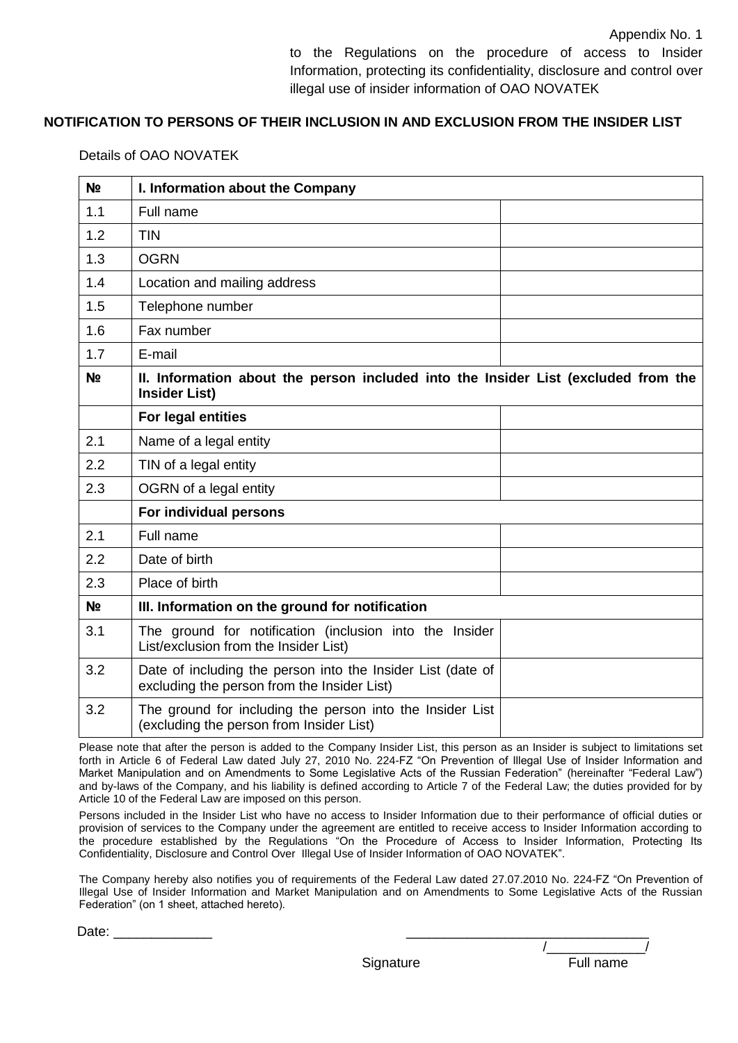## **NOTIFICATION TO PERSONS OF THEIR INCLUSION IN AND EXCLUSION FROM THE INSIDER LIST**

## Details of OAO NOVATEK

| N <sub>2</sub> | I. Information about the Company                                                                           |  |  |
|----------------|------------------------------------------------------------------------------------------------------------|--|--|
| 1.1            | Full name                                                                                                  |  |  |
| 1.2            | <b>TIN</b>                                                                                                 |  |  |
| 1.3            | <b>OGRN</b>                                                                                                |  |  |
| 1.4            | Location and mailing address                                                                               |  |  |
| 1.5            | Telephone number                                                                                           |  |  |
| 1.6            | Fax number                                                                                                 |  |  |
| 1.7            | E-mail                                                                                                     |  |  |
| N <sub>2</sub> | II. Information about the person included into the Insider List (excluded from the<br><b>Insider List)</b> |  |  |
|                | For legal entities                                                                                         |  |  |
| 2.1            | Name of a legal entity                                                                                     |  |  |
| 2.2            | TIN of a legal entity                                                                                      |  |  |
| 2.3            | OGRN of a legal entity                                                                                     |  |  |
|                | For individual persons                                                                                     |  |  |
| 2.1            | Full name                                                                                                  |  |  |
| 2.2            | Date of birth                                                                                              |  |  |
| 2.3            | Place of birth                                                                                             |  |  |
| N <sub>2</sub> | III. Information on the ground for notification                                                            |  |  |
| 3.1            | The ground for notification (inclusion into the Insider<br>List/exclusion from the Insider List)           |  |  |
| 3.2            | Date of including the person into the Insider List (date of<br>excluding the person from the Insider List) |  |  |
| 3.2            | The ground for including the person into the Insider List<br>(excluding the person from Insider List)      |  |  |

Please note that after the person is added to the Company Insider List, this person as an Insider is subject to limitations set forth in Article 6 of Federal Law dated July 27, 2010 No. 224-FZ "On Prevention of Illegal Use of Insider Information and Market Manipulation and on Amendments to Some Legislative Acts of the Russian Federation" (hereinafter "Federal Law") and by-laws of the Company, and his liability is defined according to Article 7 of the Federal Law; the duties provided for by Article 10 of the Federal Law are imposed on this person.

Persons included in the Insider List who have no access to Insider Information due to their performance of official duties or provision of services to the Company under the agreement are entitled to receive access to Insider Information according to the procedure established by the Regulations "On the Procedure of Access to Insider Information, Protecting Its Confidentiality, Disclosure and Control Over Illegal Use of Insider Information of OAO NOVATEK".

The Company hereby also notifies you of requirements of the Federal Law dated 27.07.2010 No. 224-FZ "On Prevention of Illegal Use of Insider Information and Market Manipulation and on Amendments to Some Legislative Acts of the Russian Federation" (on 1 sheet, attached hereto).

Date: \_\_\_\_\_\_\_\_\_\_\_\_\_ \_\_\_\_\_\_\_\_\_\_\_\_\_\_\_\_\_\_\_\_\_\_\_\_\_\_\_\_\_\_\_\_

Signature

| Full name |  |
|-----------|--|